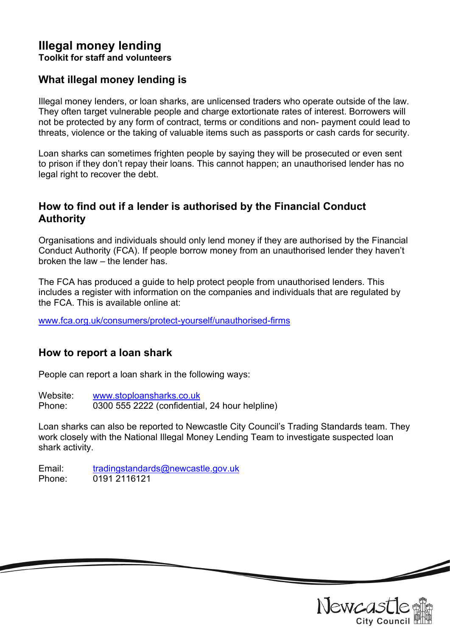### Illegal money lending Toolkit for staff and volunteers

### What illegal money lending is

Illegal money lenders, or loan sharks, are unlicensed traders who operate outside of the law. They often target vulnerable people and charge extortionate rates of interest. Borrowers will not be protected by any form of contract, terms or conditions and non- payment could lead to threats, violence or the taking of valuable items such as passports or cash cards for security.

Loan sharks can sometimes frighten people by saying they will be prosecuted or even sent to prison if they don't repay their loans. This cannot happen; an unauthorised lender has no legal right to recover the debt.

### How to find out if a lender is authorised by the Financial Conduct Authority

Organisations and individuals should only lend money if they are authorised by the Financial Conduct Authority (FCA). If people borrow money from an unauthorised lender they haven't broken the law – the lender has.

The FCA has produced a guide to help protect people from unauthorised lenders. This includes a register with information on the companies and individuals that are regulated by the FCA. This is available online at:

www.fca.org.uk/consumers/protect-yourself/unauthorised-firms

# How to report a loan shark

People can report a loan shark in the following ways:

Website: www.stoploansharks.co.uk Phone: 0300 555 2222 (confidential, 24 hour helpline)

Loan sharks can also be reported to Newcastle City Council's Trading Standards team. They work closely with the National Illegal Money Lending Team to investigate suspected loan shark activity.

Email: tradingstandards@newcastle.gov.uk Phone: 0191 2116121



 $\overline{\phantom{a}}$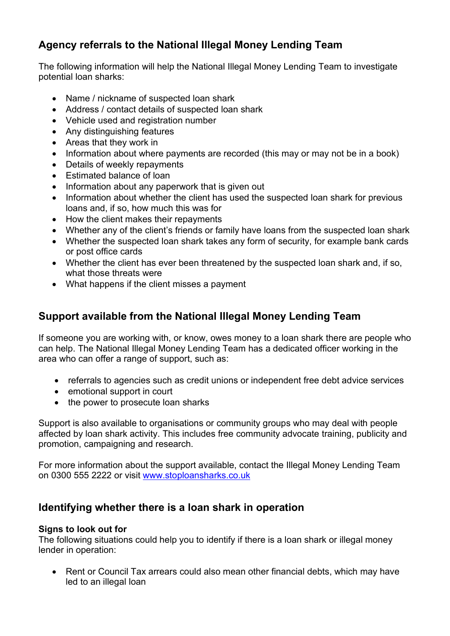# Agency referrals to the National Illegal Money Lending Team

The following information will help the National Illegal Money Lending Team to investigate potential loan sharks:

- Name / nickname of suspected loan shark
- Address / contact details of suspected loan shark
- Vehicle used and registration number
- Any distinguishing features
- Areas that they work in
- Information about where payments are recorded (this may or may not be in a book)
- Details of weekly repayments
- Estimated balance of loan
- Information about any paperwork that is given out
- Information about whether the client has used the suspected loan shark for previous loans and, if so, how much this was for
- How the client makes their repayments
- Whether any of the client's friends or family have loans from the suspected loan shark
- Whether the suspected loan shark takes any form of security, for example bank cards or post office cards
- Whether the client has ever been threatened by the suspected loan shark and, if so, what those threats were
- What happens if the client misses a payment

# Support available from the National Illegal Money Lending Team

If someone you are working with, or know, owes money to a loan shark there are people who can help. The National Illegal Money Lending Team has a dedicated officer working in the area who can offer a range of support, such as:

- referrals to agencies such as credit unions or independent free debt advice services
- emotional support in court
- the power to prosecute loan sharks

Support is also available to organisations or community groups who may deal with people affected by loan shark activity. This includes free community advocate training, publicity and promotion, campaigning and research.

For more information about the support available, contact the Illegal Money Lending Team on 0300 555 2222 or visit www.stoploansharks.co.uk

# Identifying whether there is a loan shark in operation

### Signs to look out for

The following situations could help you to identify if there is a loan shark or illegal money lender in operation:

• Rent or Council Tax arrears could also mean other financial debts, which may have led to an illegal loan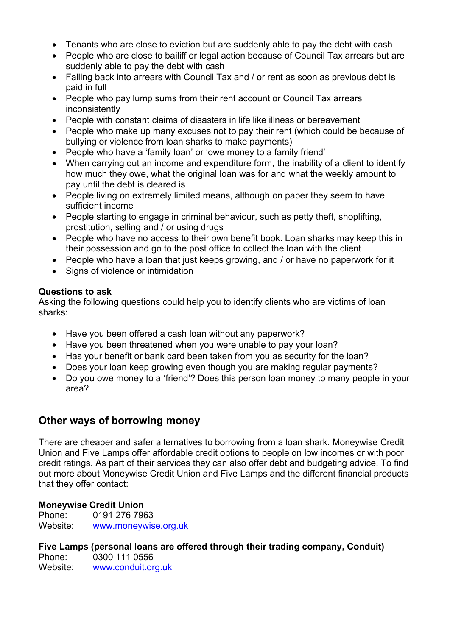- Tenants who are close to eviction but are suddenly able to pay the debt with cash
- People who are close to bailiff or legal action because of Council Tax arrears but are suddenly able to pay the debt with cash
- Falling back into arrears with Council Tax and / or rent as soon as previous debt is paid in full
- People who pay lump sums from their rent account or Council Tax arrears inconsistently
- People with constant claims of disasters in life like illness or bereavement
- People who make up many excuses not to pay their rent (which could be because of bullying or violence from loan sharks to make payments)
- People who have a 'family loan' or 'owe money to a family friend'
- When carrying out an income and expenditure form, the inability of a client to identify how much they owe, what the original loan was for and what the weekly amount to pay until the debt is cleared is
- People living on extremely limited means, although on paper they seem to have sufficient income
- People starting to engage in criminal behaviour, such as petty theft, shoplifting, prostitution, selling and / or using drugs
- People who have no access to their own benefit book. Loan sharks may keep this in their possession and go to the post office to collect the loan with the client
- People who have a loan that just keeps growing, and / or have no paperwork for it
- Signs of violence or intimidation

#### Questions to ask

Asking the following questions could help you to identify clients who are victims of loan sharks:

- Have you been offered a cash loan without any paperwork?
- Have you been threatened when you were unable to pay your loan?
- Has your benefit or bank card been taken from you as security for the loan?
- Does your loan keep growing even though you are making regular payments?
- Do you owe money to a 'friend'? Does this person loan money to many people in your area?

### Other ways of borrowing money

There are cheaper and safer alternatives to borrowing from a loan shark. Moneywise Credit Union and Five Lamps offer affordable credit options to people on low incomes or with poor credit ratings. As part of their services they can also offer debt and budgeting advice. To find out more about Moneywise Credit Union and Five Lamps and the different financial products that they offer contact:

#### Moneywise Credit Union

Phone: 0191 276 7963 Website: www.moneywise.org.uk

### Five Lamps (personal loans are offered through their trading company, Conduit)

Phone: 0300 111 0556 Website: www.conduit.org.uk